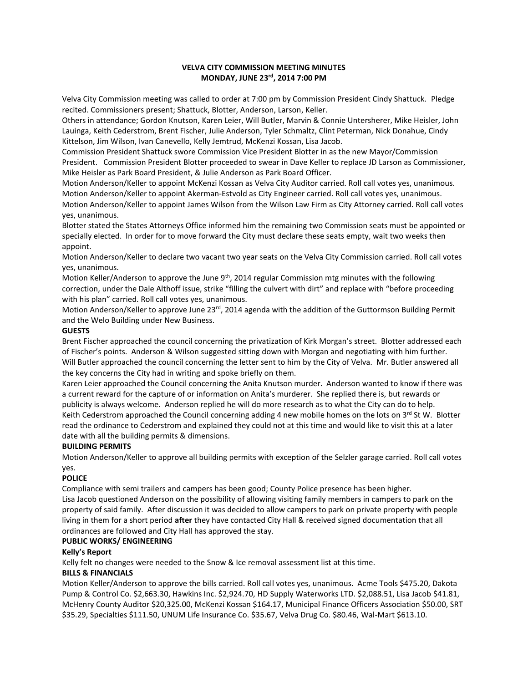## **VELVA CITY COMMISSION MEETING MINUTES MONDAY, JUNE 23rd, 2014 7:00 PM**

Velva City Commission meeting was called to order at 7:00 pm by Commission President Cindy Shattuck. Pledge recited. Commissioners present; Shattuck, Blotter, Anderson, Larson, Keller.

Others in attendance; Gordon Knutson, Karen Leier, Will Butler, Marvin & Connie Untersherer, Mike Heisler, John Lauinga, Keith Cederstrom, Brent Fischer, Julie Anderson, Tyler Schmaltz, Clint Peterman, Nick Donahue, Cindy Kittelson, Jim Wilson, Ivan Canevello, Kelly Jemtrud, McKenzi Kossan, Lisa Jacob.

Commission President Shattuck swore Commission Vice President Blotter in as the new Mayor/Commission President. Commission President Blotter proceeded to swear in Dave Keller to replace JD Larson as Commissioner, Mike Heisler as Park Board President, & Julie Anderson as Park Board Officer.

Motion Anderson/Keller to appoint McKenzi Kossan as Velva City Auditor carried. Roll call votes yes, unanimous. Motion Anderson/Keller to appoint Akerman-Estvold as City Engineer carried. Roll call votes yes, unanimous. Motion Anderson/Keller to appoint James Wilson from the Wilson Law Firm as City Attorney carried. Roll call votes yes, unanimous.

Blotter stated the States Attorneys Office informed him the remaining two Commission seats must be appointed or specially elected. In order for to move forward the City must declare these seats empty, wait two weeks then appoint.

Motion Anderson/Keller to declare two vacant two year seats on the Velva City Commission carried. Roll call votes yes, unanimous.

Motion Keller/Anderson to approve the June 9<sup>th</sup>, 2014 regular Commission mtg minutes with the following correction, under the Dale Althoff issue, strike "filling the culvert with dirt" and replace with "before proceeding with his plan" carried. Roll call votes yes, unanimous.

Motion Anderson/Keller to approve June 23rd, 2014 agenda with the addition of the Guttormson Building Permit and the Welo Building under New Business.

#### **GUESTS**

Brent Fischer approached the council concerning the privatization of Kirk Morgan's street. Blotter addressed each of Fischer's points. Anderson & Wilson suggested sitting down with Morgan and negotiating with him further. Will Butler approached the council concerning the letter sent to him by the City of Velva. Mr. Butler answered all the key concerns the City had in writing and spoke briefly on them.

Karen Leier approached the Council concerning the Anita Knutson murder. Anderson wanted to know if there was a current reward for the capture of or information on Anita's murderer. She replied there is, but rewards or publicity is always welcome. Anderson replied he will do more research as to what the City can do to help. Keith Cederstrom approached the Council concerning adding 4 new mobile homes on the lots on  $3^{rd}$  St W. Blotter read the ordinance to Cederstrom and explained they could not at this time and would like to visit this at a later date with all the building permits & dimensions.

## **BUILDING PERMITS**

Motion Anderson/Keller to approve all building permits with exception of the Selzler garage carried. Roll call votes yes.

## **POLICE**

Compliance with semi trailers and campers has been good; County Police presence has been higher. Lisa Jacob questioned Anderson on the possibility of allowing visiting family members in campers to park on the property of said family. After discussion it was decided to allow campers to park on private property with people living in them for a short period **after** they have contacted City Hall & received signed documentation that all ordinances are followed and City Hall has approved the stay.

# **PUBLIC WORKS/ ENGINEERING**

## **Kelly's Report**

Kelly felt no changes were needed to the Snow & Ice removal assessment list at this time.

## **BILLS & FINANCIALS**

Motion Keller/Anderson to approve the bills carried. Roll call votes yes, unanimous. Acme Tools \$475.20, Dakota Pump & Control Co. \$2,663.30, Hawkins Inc. \$2,924.70, HD Supply Waterworks LTD. \$2,088.51, Lisa Jacob \$41.81, McHenry County Auditor \$20,325.00, McKenzi Kossan \$164.17, Municipal Finance Officers Association \$50.00, SRT \$35.29, Specialties \$111.50, UNUM Life Insurance Co. \$35.67, Velva Drug Co. \$80.46, Wal-Mart \$613.10.